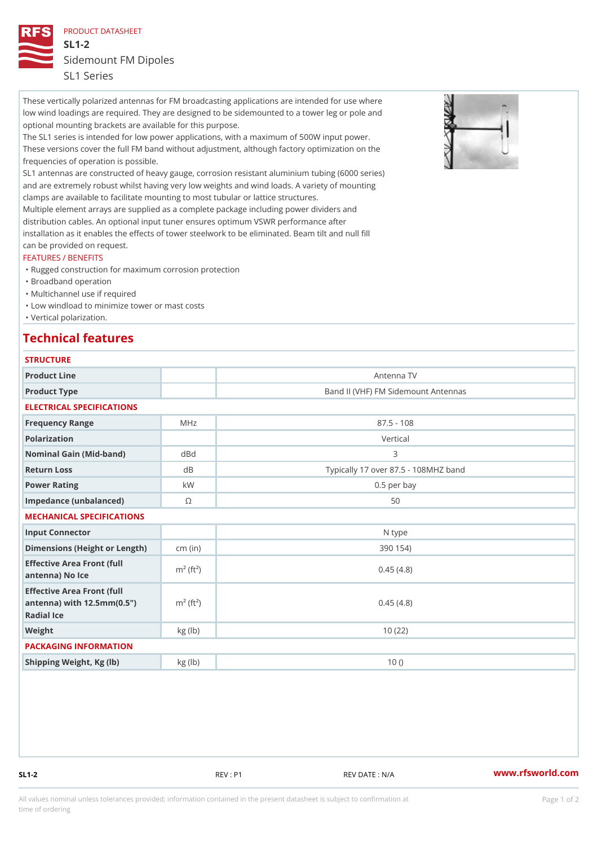PRODUCT DATASHEET

SL1-2 Sidemount FM Dipoles SL1 Series

These vertically polarized antennas for FM broadcasting applications are intended for use where low wind loadings are required. They are designed to be sidemounted to a tower leg or pole and optional mounting brackets are available for this purpose.

The SL1 series is intended for low power applications, with a maximum of 500W input power. These versions cover the full FM band without adjustment, although factory optimization on the frequencies of operation is possible.

SL1 antennas are constructed of heavy gauge, corrosion resistant aluminium tubing (6000 series) and are extremely robust whilst having very low weights and wind loads. A variety of mounting clamps are available to facilitate mounting to most tubular or lattice structures.

Multiple element arrays are supplied as a complete package including power dividers and distribution cables. An optional input tuner ensures optimum VSWR performance after installation as it enables the effects of tower steelwork to be eliminated. Beam tilt and null fill can be provided on request.

## FEATURES / BENEFITS

- "Rugged construction for maximum corrosion protection
- "Broadband operation
- "Multichannel use if required
- "Low windload to minimize tower or mast costs
- "Vertical polarization.

## Technical features

| <b>STRUCTURE</b>                                                                                                   |                        |                                      |
|--------------------------------------------------------------------------------------------------------------------|------------------------|--------------------------------------|
| Product Line                                                                                                       |                        | Antenna TV                           |
| Product Type                                                                                                       |                        | Band II (VHF) FM Sidemount Antennas  |
| ELECTRICAL SPECIFICATIONS                                                                                          |                        |                                      |
| Frequency Range                                                                                                    | MHz                    | $87.5 - 108$                         |
| Polarization                                                                                                       |                        | Vertical                             |
| Nominal Gain (Mid-band)                                                                                            | d B d                  | 3                                    |
| Return Loss                                                                                                        | d B                    | Typically 17 over 87.5 - 108MHZ band |
| Power Rating                                                                                                       | k W                    | $0.5$ per bay                        |
| Impedance (unbalanced)                                                                                             | $\circledcirc$         | 50                                   |
| MECHANICAL SPECIFICATIONS                                                                                          |                        |                                      |
| Input Connector                                                                                                    |                        | N type                               |
| Dimensions (Height or Length)(in)                                                                                  |                        | 390 154)                             |
| Effective Area Front (full<br>antenna) No Ice                                                                      | $m^2$ (ft <sup>2</sup> | 0.45(4.8)                            |
| Effective Area Front (full<br>antenna) with $12.5$ mm $(0.5$ " $\pi$ <sup>2</sup> (ft <sup>2</sup> )<br>Radial Ice |                        | 0.45(4.8)                            |
| Weight                                                                                                             | kg (lb)                | 10(22)                               |
| PACKAGING INFORMATION                                                                                              |                        |                                      |
| Shipping Weight, Kg (Ib)                                                                                           | kg(lb)                 | 10()                                 |
|                                                                                                                    |                        |                                      |

SL1-2 REV : P1 REV DATE : N/A WWW.rfsworld.com

All values nominal unless tolerances provided; information contained in the present datasheet is subject to Pcapgeign manation time of ordering